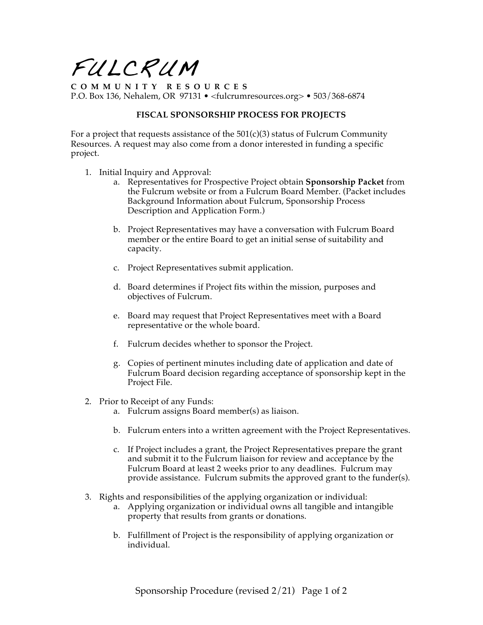FULCRUM

**COMMUNITY RESOURCES** P.O. Box 136, Nehalem, OR 97131 • <fulcrumresources.org> • 503/368-6874

## **FISCAL SPONSORSHIP PROCESS FOR PROJECTS**

For a project that requests assistance of the  $501(c)(3)$  status of Fulcrum Community Resources. A request may also come from a donor interested in funding a specific project.

- 1. Initial Inquiry and Approval:
	- a. Representatives for Prospective Project obtain **Sponsorship Packet** from the Fulcrum website or from a Fulcrum Board Member. (Packet includes Background Information about Fulcrum, Sponsorship Process Description and Application Form.)
	- b. Project Representatives may have a conversation with Fulcrum Board member or the entire Board to get an initial sense of suitability and capacity.
	- c. Project Representatives submit application.
	- d. Board determines if Project fits within the mission, purposes and objectives of Fulcrum.
	- e. Board may request that Project Representatives meet with a Board representative or the whole board.
	- f. Fulcrum decides whether to sponsor the Project.
	- g. Copies of pertinent minutes including date of application and date of Fulcrum Board decision regarding acceptance of sponsorship kept in the Project File.
- 2. Prior to Receipt of any Funds:
	- a. Fulcrum assigns Board member(s) as liaison.
	- b. Fulcrum enters into a written agreement with the Project Representatives.
	- c. If Project includes a grant, the Project Representatives prepare the grant and submit it to the Fulcrum liaison for review and acceptance by the Fulcrum Board at least 2 weeks prior to any deadlines. Fulcrum may provide assistance. Fulcrum submits the approved grant to the funder(s).
- 3. Rights and responsibilities of the applying organization or individual:
	- a. Applying organization or individual owns all tangible and intangible property that results from grants or donations.
	- b. Fulfillment of Project is the responsibility of applying organization or individual.